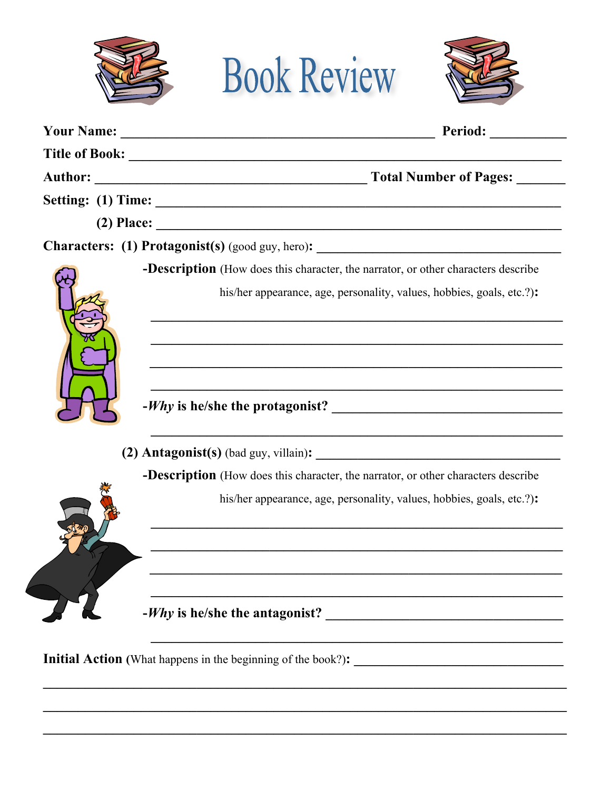